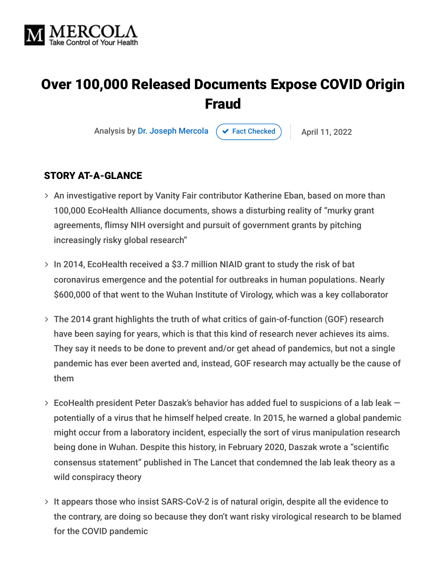

# Over 100,000 Released Documents Expose COVID Origin Fraud

Analysis by [Dr. Joseph Mercola](https://www.mercola.com/forms/background.htm)  $\left( \right. \times$  [Fact Checked](javascript:void(0))  $\left. \right)$  April 11, 2022

#### STORY AT-A-GLANCE

- $>$  An investigative report by Vanity Fair contributor Katherine Eban, based on more than 100,000 EcoHealth Alliance documents, shows a disturbing reality of "murky grant agreements, flimsy NIH oversight and pursuit of government grants by pitching increasingly risky global research"
- $>$  In 2014, EcoHealth received a \$3.7 million NIAID grant to study the risk of bat coronavirus emergence and the potential for outbreaks in human populations. Nearly \$600,000 of that went to the Wuhan Institute of Virology, which was a key collaborator
- The 2014 grant highlights the truth of what critics of gain-of-function (GOF) research have been saying for years, which is that this kind of research never achieves its aims. They say it needs to be done to prevent and/or get ahead of pandemics, but not a single pandemic has ever been averted and, instead, GOF research may actually be the cause of them
- $>$  EcoHealth president Peter Daszak's behavior has added fuel to suspicions of a lab leak  $$ potentially of a virus that he himself helped create. In 2015, he warned a global pandemic might occur from a laboratory incident, especially the sort of virus manipulation research being done in Wuhan. Despite this history, in February 2020, Daszak wrote a "scientific consensus statement" published in The Lancet that condemned the lab leak theory as a wild conspiracy theory
- > It appears those who insist SARS-CoV-2 is of natural origin, despite all the evidence to the contrary, are doing so because they don't want risky virological research to be blamed for the COVID pandemic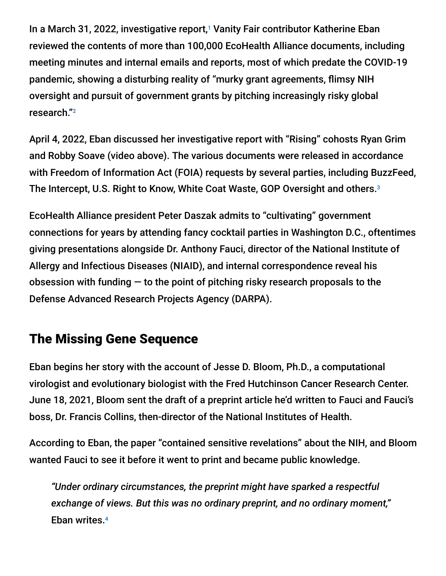In a March 31, 2022, investigative report,<sup>1</sup> Vanity Fair contributor Katherine Eban reviewed the contents of more than 100,000 EcoHealth Alliance documents, including meeting minutes and internal emails and reports, most of which predate the COVID-19 pandemic, showing a disturbing reality of "murky grant agreements, flimsy NIH oversight and pursuit of government grants by pitching increasingly risky global research." 2

April 4, 2022, Eban discussed her investigative report with "Rising" cohosts Ryan Grim and Robby Soave (video above). The various documents were released in accordance with Freedom of Information Act (FOIA) requests by several parties, including BuzzFeed, The Intercept, U.S. Right to Know, White Coat Waste, GOP Oversight and others. 3

EcoHealth Alliance president Peter Daszak admits to "cultivating" government connections for years by attending fancy cocktail parties in Washington D.C., oftentimes giving presentations alongside Dr. Anthony Fauci, director of the National Institute of Allergy and Infectious Diseases (NIAID), and internal correspondence reveal his obsession with funding  $-$  to the point of pitching risky research proposals to the Defense Advanced Research Projects Agency (DARPA).

#### The Missing Gene Sequence

Eban begins her story with the account of Jesse D. Bloom, Ph.D., a computational virologist and evolutionary biologist with the Fred Hutchinson Cancer Research Center. June 18, 2021, Bloom sent the draft of a preprint article he'd written to Fauci and Fauci's boss, Dr. Francis Collins, then-director of the National Institutes of Health.

According to Eban, the paper "contained sensitive revelations" about the NIH, and Bloom wanted Fauci to see it before it went to print and became public knowledge.

*"Under ordinary circumstances, the preprint might have sparked a respectful exchange of views. But this was no ordinary preprint, and no ordinary moment,"* Eban writes. 4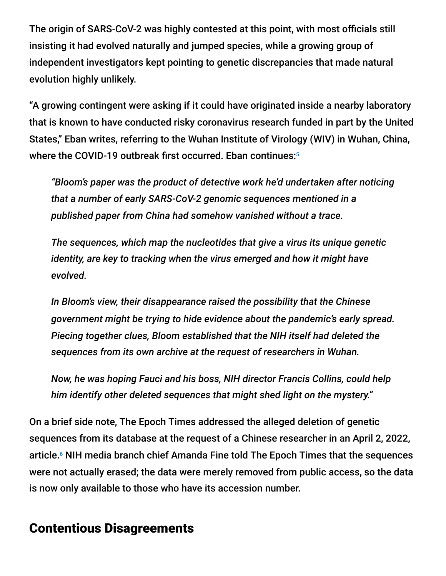The origin of SARS-CoV-2 was highly contested at this point, with most officials still insisting it had evolved naturally and jumped species, while a growing group of independent investigators kept pointing to genetic discrepancies that made natural evolution highly unlikely.

"A growing contingent were asking if it could have originated inside a nearby laboratory that is known to have conducted risky coronavirus research funded in part by the United States," Eban writes, referring to the Wuhan Institute of Virology (WIV) in Wuhan, China, where the COVID-19 outbreak first occurred. Eban continues: 5

*"Bloom's paper was the product of detective work he'd undertaken after noticing that a number of early SARS-CoV-2 genomic sequences mentioned in a published paper from China had somehow vanished without a trace.*

*The sequences, which map the nucleotides that give a virus its unique genetic identity, are key to tracking when the virus emerged and how it might have evolved.*

*In Bloom's view, their disappearance raised the possibility that the Chinese government might be trying to hide evidence about the pandemic's early spread. Piecing together clues, Bloom established that the NIH itself had deleted the sequences from its own archive at the request of researchers in Wuhan.*

*Now, he was hoping Fauci and his boss, NIH director Francis Collins, could help him identify other deleted sequences that might shed light on the mystery."*

On a brief side note, The Epoch Times addressed the alleged deletion of genetic sequences from its database at the request of a Chinese researcher in an April 2, 2022, article.<sup>6</sup> NIH media branch chief Amanda Fine told The Epoch Times that the sequences were not actually erased; the data were merely removed from public access, so the data is now only available to those who have its accession number.

## Contentious Disagreements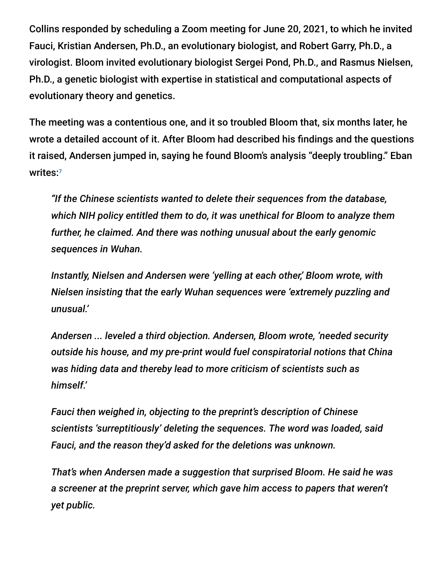Collins responded by scheduling a Zoom meeting for June 20, 2021, to which he invited Fauci, Kristian Andersen, Ph.D., an evolutionary biologist, and Robert Garry, Ph.D., a virologist. Bloom invited evolutionary biologist Sergei Pond, Ph.D., and Rasmus Nielsen, Ph.D., a genetic biologist with expertise in statistical and computational aspects of evolutionary theory and genetics.

The meeting was a contentious one, and it so troubled Bloom that, six months later, he wrote a detailed account of it. After Bloom had described his findings and the questions it raised, Andersen jumped in, saying he found Bloom's analysis "deeply troubling." Eban writes: 7

*"If the Chinese scientists wanted to delete their sequences from the database, which NIH policy entitled them to do, it was unethical for Bloom to analyze them further, he claimed. And there was nothing unusual about the early genomic sequences in Wuhan.*

*Instantly, Nielsen and Andersen were 'yelling at each other,' Bloom wrote, with Nielsen insisting that the early Wuhan sequences were 'extremely puzzling and unusual.'*

*Andersen ... leveled a third objection. Andersen, Bloom wrote, 'needed security outside his house, and my pre-print would fuel conspiratorial notions that China was hiding data and thereby lead to more criticism of scientists such as himself.'*

*Fauci then weighed in, objecting to the preprint's description of Chinese scientists 'surreptitiously' deleting the sequences. The word was loaded, said Fauci, and the reason they'd asked for the deletions was unknown.*

*That's when Andersen made a suggestion that surprised Bloom. He said he was a screener at the preprint server, which gave him access to papers that weren't yet public.*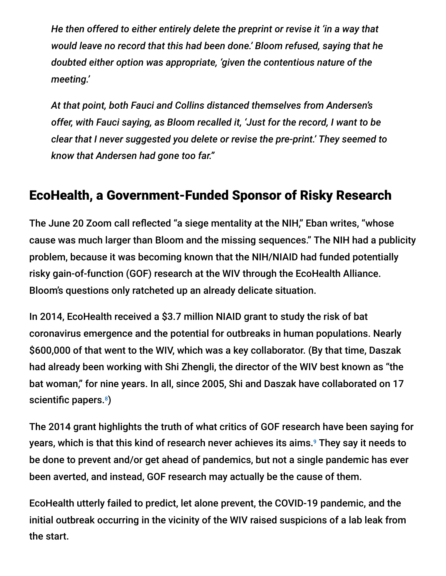*He then offered to either entirely delete the preprint or revise it 'in a way that would leave no record that this had been done.' Bloom refused, saying that he doubted either option was appropriate, 'given the contentious nature of the meeting.'*

*At that point, both Fauci and Collins distanced themselves from Andersen's offer, with Fauci saying, as Bloom recalled it, 'Just for the record, I want to be clear that I never suggested you delete or revise the pre-print.' They seemed to know that Andersen had gone too far."*

### EcoHealth, a Government-Funded Sponsor of Risky Research

The June 20 Zoom call reflected "a siege mentality at the NIH," Eban writes, "whose cause was much larger than Bloom and the missing sequences." The NIH had a publicity problem, because it was becoming known that the NIH/NIAID had funded potentially risky gain-of-function (GOF) research at the WIV through the EcoHealth Alliance. Bloom's questions only ratcheted up an already delicate situation.

In 2014, EcoHealth received a \$3.7 million NIAID grant to study the risk of bat coronavirus emergence and the potential for outbreaks in human populations. Nearly \$600,000 of that went to the WIV, which was a key collaborator. (By that time, Daszak had already been working with Shi Zhengli, the director of the WIV best known as "the bat woman," for nine years. In all, since 2005, Shi and Daszak have collaborated on 17 scientific papers.<sup>8</sup>)

The 2014 grant highlights the truth of what critics of GOF research have been saying for years, which is that this kind of research never achieves its aims.<sup>9</sup> They say it needs to be done to prevent and/or get ahead of pandemics, but not a single pandemic has ever been averted, and instead, GOF research may actually be the cause of them.

EcoHealth utterly failed to predict, let alone prevent, the COVID-19 pandemic, and the initial outbreak occurring in the vicinity of the WIV raised suspicions of a lab leak from the start.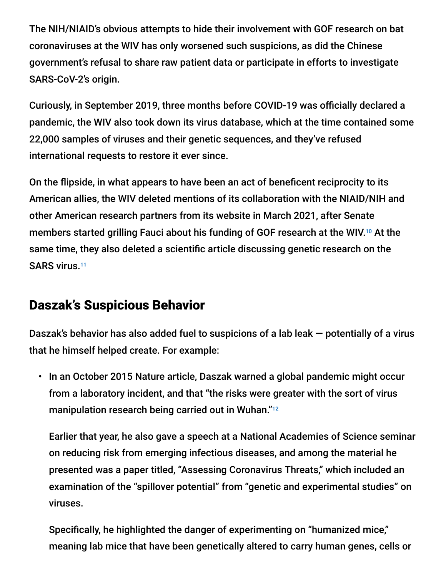The NIH/NIAID's obvious attempts to hide their involvement with GOF research on bat coronaviruses at the WIV has only worsened such suspicions, as did the Chinese government's refusal to share raw patient data or participate in efforts to investigate SARS-CoV-2's origin.

Curiously, in September 2019, three months before COVID-19 was officially declared a pandemic, the WIV also took down its virus database, which at the time contained some 22,000 samples of viruses and their genetic sequences, and they've refused international requests to restore it ever since.

On the flipside, in what appears to have been an act of beneficent reciprocity to its American allies, the WIV deleted mentions of its collaboration with the NIAID/NIH and other American research partners from its website in March 2021, after Senate members started grilling Fauci about his funding of GOF research at the WIV.<sup>10</sup> At the same time, they also deleted a scientific article discussing genetic research on the SARS virus.<sup>11</sup>

#### Daszak's Suspicious Behavior

Daszak's behavior has also added fuel to suspicions of a lab leak — potentially of a virus that he himself helped create. For example:

• In an October 2015 Nature article, Daszak warned a global pandemic might occur from a laboratory incident, and that "the risks were greater with the sort of virus manipulation research being carried out in Wuhan."<sup>12</sup>

Earlier that year, he also gave a speech at a National Academies of Science seminar on reducing risk from emerging infectious diseases, and among the material he presented was a paper titled, "Assessing Coronavirus Threats," which included an examination of the "spillover potential" from "genetic and experimental studies" on viruses.

Specifically, he highlighted the danger of experimenting on "humanized mice," meaning lab mice that have been genetically altered to carry human genes, cells or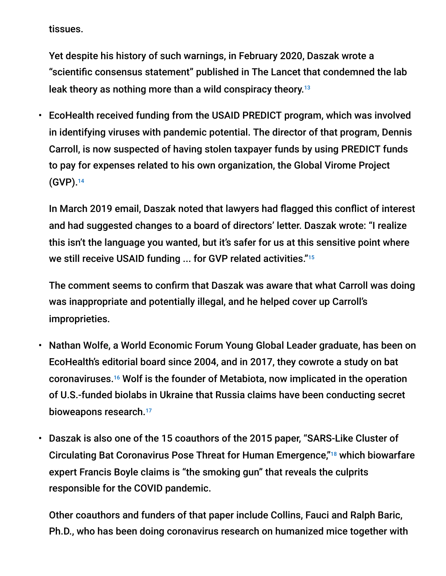tissues.

Yet despite his history of such warnings, in February 2020, Daszak wrote a "scientific consensus statement" published in The Lancet that condemned the lab leak theory as nothing more than a wild conspiracy theory. 13

• EcoHealth received funding from the USAID PREDICT program, which was involved in identifying viruses with pandemic potential. The director of that program, Dennis Carroll, is now suspected of having stolen taxpayer funds by using PREDICT funds to pay for expenses related to his own organization, the Global Virome Project (GVP). 14

In March 2019 email, Daszak noted that lawyers had flagged this conflict of interest and had suggested changes to a board of directors' letter. Daszak wrote: "I realize this isn't the language you wanted, but it's safer for us at this sensitive point where we still receive USAID funding ... for GVP related activities." 15

The comment seems to confirm that Daszak was aware that what Carroll was doing was inappropriate and potentially illegal, and he helped cover up Carroll's improprieties.

- Nathan Wolfe, a World Economic Forum Young Global Leader graduate, has been on EcoHealth's editorial board since 2004, and in 2017, they cowrote a study on bat coronaviruses.<sup>16</sup> Wolf is the founder of Metabiota, now implicated in the operation of U.S.-funded biolabs in Ukraine that Russia claims have been conducting secret bioweapons research. 17
- Daszak is also one of the 15 coauthors of the 2015 paper, "SARS-Like Cluster of Circulating Bat Coronavirus Pose Threat for Human Emergence,"<sup>18</sup> which biowarfare expert Francis Boyle claims is "the smoking gun" that reveals the culprits responsible for the COVID pandemic.

Other coauthors and funders of that paper include Collins, Fauci and Ralph Baric, Ph.D., who has been doing coronavirus research on humanized mice together with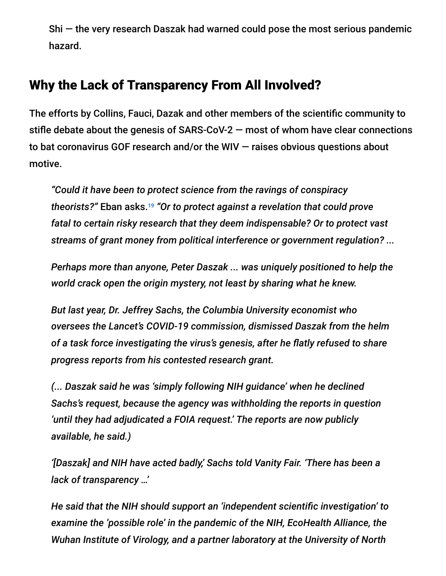Shi — the very research Daszak had warned could pose the most serious pandemic hazard.

### Why the Lack of Transparency From All Involved?

The efforts by Collins, Fauci, Dazak and other members of the scientific community to stifle debate about the genesis of SARS-CoV-2 — most of whom have clear connections to bat coronavirus GOF research and/or the WIV — raises obvious questions about motive.

*"Could it have been to protect science from the ravings of conspiracy theorists?"* Eban asks. *"Or to protect against a revelation that could prove* 19*fatal to certain risky research that they deem indispensable? Or to protect vast streams of grant money from political interference or government regulation? ...*

*Perhaps more than anyone, Peter Daszak ... was uniquely positioned to help the world crack open the origin mystery, not least by sharing what he knew.*

*But last year, Dr. Jeffrey Sachs, the Columbia University economist who oversees the Lancet's COVID-19 commission, dismissed Daszak from the helm of a task force investigating the virus's genesis, after he flatly refused to share progress reports from his contested research grant.*

*(... Daszak said he was 'simply following NIH guidance' when he declined Sachs's request, because the agency was withholding the reports in question 'until they had adjudicated a FOIA request.' The reports are now publicly available, he said.)*

*'[Daszak] and NIH have acted badly,' Sachs told Vanity Fair. 'There has been a lack of transparency …'*

*He said that the NIH should support an 'independent scientific investigation' to examine the 'possible role' in the pandemic of the NIH, EcoHealth Alliance, the Wuhan Institute of Virology, and a partner laboratory at the University of North*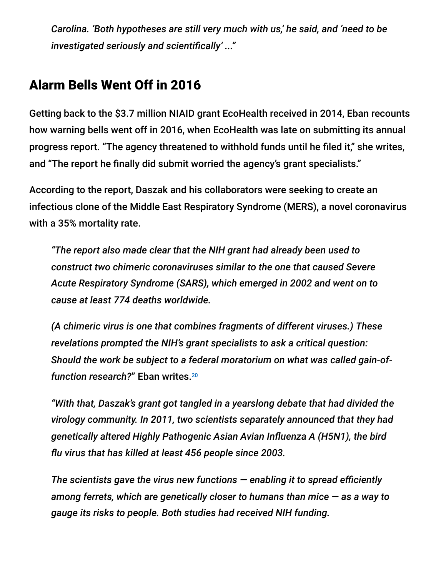*Carolina. 'Both hypotheses are still very much with us,' he said, and 'need to be investigated seriously and scientifically' ..."*

### Alarm Bells Went Off in 2016

Getting back to the \$3.7 million NIAID grant EcoHealth received in 2014, Eban recounts how warning bells went off in 2016, when EcoHealth was late on submitting its annual progress report. "The agency threatened to withhold funds until he filed it," she writes, and "The report he finally did submit worried the agency's grant specialists."

According to the report, Daszak and his collaborators were seeking to create an infectious clone of the Middle East Respiratory Syndrome (MERS), a novel coronavirus with a 35% mortality rate.

*"The report also made clear that the NIH grant had already been used to construct two chimeric coronaviruses similar to the one that caused Severe Acute Respiratory Syndrome (SARS), which emerged in 2002 and went on to cause at least 774 deaths worldwide.*

*(A chimeric virus is one that combines fragments of different viruses.) These revelations prompted the NIH's grant specialists to ask a critical question: Should the work be subject to a federal moratorium on what was called gain-offunction research?*" Eban writes. 20

*"With that, Daszak's grant got tangled in a yearslong debate that had divided the virology community. In 2011, two scientists separately announced that they had genetically altered Highly Pathogenic Asian Avian Influenza A (H5N1), the bird flu virus that has killed at least 456 people since 2003.*

*The scientists gave the virus new functions — enabling it to spread efficiently among ferrets, which are genetically closer to humans than mice — as a way to gauge its risks to people. Both studies had received NIH funding.*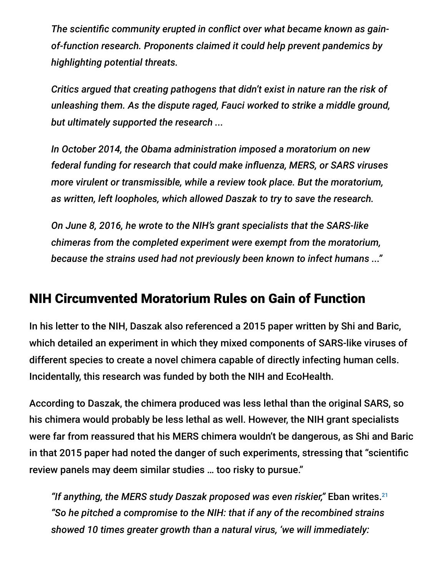*The scientific community erupted in conflict over what became known as gainof-function research. Proponents claimed it could help prevent pandemics by highlighting potential threats.*

*Critics argued that creating pathogens that didn't exist in nature ran the risk of unleashing them. As the dispute raged, Fauci worked to strike a middle ground, but ultimately supported the research ...*

*In October 2014, the Obama administration imposed a moratorium on new federal funding for research that could make influenza, MERS, or SARS viruses more virulent or transmissible, while a review took place. But the moratorium, as written, left loopholes, which allowed Daszak to try to save the research.*

*On June 8, 2016, he wrote to the NIH's grant specialists that the SARS-like chimeras from the completed experiment were exempt from the moratorium, because the strains used had not previously been known to infect humans ..."*

#### NIH Circumvented Moratorium Rules on Gain of Function

In his letter to the NIH, Daszak also referenced a 2015 paper written by Shi and Baric, which detailed an experiment in which they mixed components of SARS-like viruses of different species to create a novel chimera capable of directly infecting human cells. Incidentally, this research was funded by both the NIH and EcoHealth.

According to Daszak, the chimera produced was less lethal than the original SARS, so his chimera would probably be less lethal as well. However, the NIH grant specialists were far from reassured that his MERS chimera wouldn't be dangerous, as Shi and Baric in that 2015 paper had noted the danger of such experiments, stressing that "scientific review panels may deem similar studies … too risky to pursue."

*"If anything, the MERS study Daszak proposed was even riskier,"* Eban writes. 21*"So he pitched a compromise to the NIH: that if any of the recombined strains showed 10 times greater growth than a natural virus, 'we will immediately:*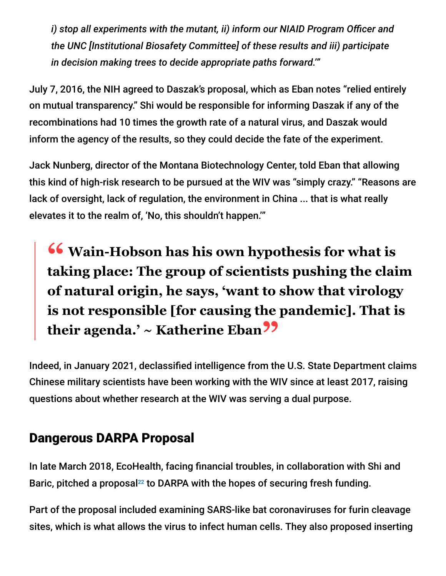*i) stop all experiments with the mutant, ii) inform our NIAID Program Officer and the UNC [Institutional Biosafety Committee] of these results and iii) participate in decision making trees to decide appropriate paths forward.'"*

July 7, 2016, the NIH agreed to Daszak's proposal, which as Eban notes "relied entirely on mutual transparency." Shi would be responsible for informing Daszak if any of the recombinations had 10 times the growth rate of a natural virus, and Daszak would inform the agency of the results, so they could decide the fate of the experiment.

Jack Nunberg, director of the Montana Biotechnology Center, told Eban that allowing this kind of high-risk research to be pursued at the WIV was "simply crazy." "Reasons are lack of oversight, lack of regulation, the environment in China ... that is what really elevates it to the realm of, 'No, this shouldn't happen.'"

**<sup>66</sup>** Wain-Hobson has his own hypothesis for what is<br>taking place: The group of scientists pushing the clai **taking place: The group of scientists pushing the claim of natural origin, he says, 'want to show that virology is not responsible [for causing the pandemic]. That is their agenda.' ~ Katherine Eban"**

Indeed, in January 2021, declassified intelligence from the U.S. State Department claims Chinese military scientists have been working with the WIV since at least 2017, raising questions about whether research at the WIV was serving a dual purpose.

### Dangerous DARPA Proposal

In late March 2018, EcoHealth, facing financial troubles, in collaboration with Shi and Baric, pitched a proposal<sup>22</sup> to DARPA with the hopes of securing fresh funding.

Part of the proposal included examining SARS-like bat coronaviruses for furin cleavage sites, which is what allows the virus to infect human cells. They also proposed inserting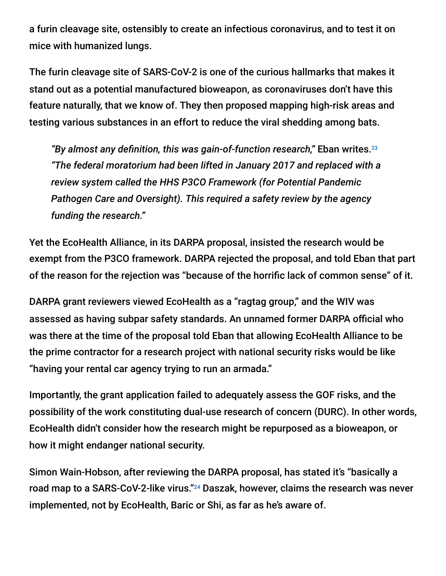a furin cleavage site, ostensibly to create an infectious coronavirus, and to test it on mice with humanized lungs.

The furin cleavage site of SARS-CoV-2 is one of the curious hallmarks that makes it stand out as a potential manufactured bioweapon, as coronaviruses don't have this feature naturally, that we know of. They then proposed mapping high-risk areas and testing various substances in an effort to reduce the viral shedding among bats.

*"By almost any definition, this was gain-of-function research,"* Eban writes. 23 *"The federal moratorium had been lifted in January 2017 and replaced with a review system called the HHS P3CO Framework (for Potential Pandemic Pathogen Care and Oversight). This required a safety review by the agency funding the research."*

Yet the EcoHealth Alliance, in its DARPA proposal, insisted the research would be exempt from the P3CO framework. DARPA rejected the proposal, and told Eban that part of the reason for the rejection was "because of the horrific lack of common sense" of it.

DARPA grant reviewers viewed EcoHealth as a "ragtag group," and the WIV was assessed as having subpar safety standards. An unnamed former DARPA official who was there at the time of the proposal told Eban that allowing EcoHealth Alliance to be the prime contractor for a research project with national security risks would be like "having your rental car agency trying to run an armada."

Importantly, the grant application failed to adequately assess the GOF risks, and the possibility of the work constituting dual-use research of concern (DURC). In other words, EcoHealth didn't consider how the research might be repurposed as a bioweapon, or how it might endanger national security.

Simon Wain-Hobson, after reviewing the DARPA proposal, has stated it's "basically a road map to a SARS-CoV-2-like virus."<sup>24</sup> Daszak, however, claims the research was never implemented, not by EcoHealth, Baric or Shi, as far as he's aware of.